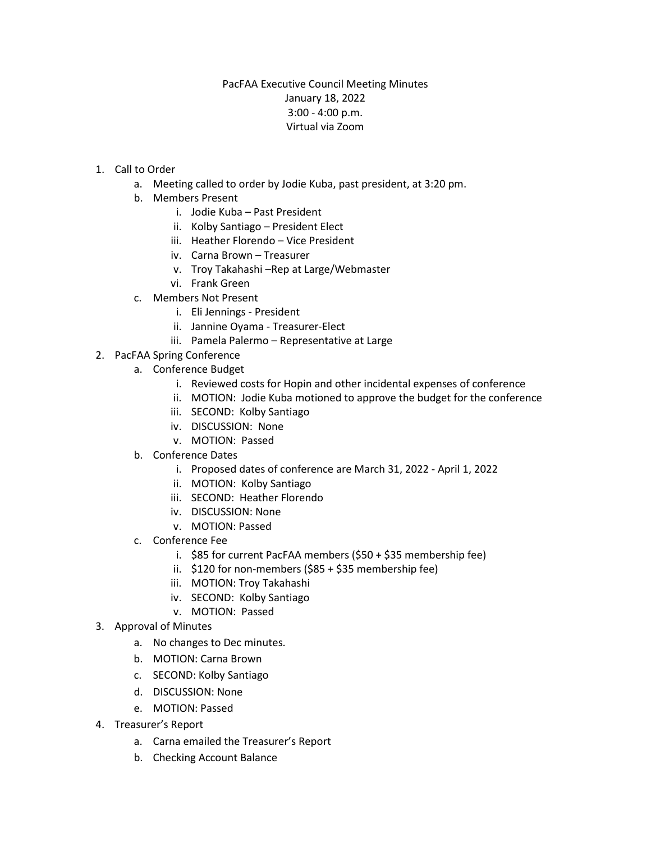## PacFAA Executive Council Meeting Minutes January 18, 2022 3:00 - 4:00 p.m. Virtual via Zoom

- 1. Call to Order
	- a. Meeting called to order by Jodie Kuba, past president, at 3:20 pm.
	- b. Members Present
		- i. Jodie Kuba Past President
		- ii. Kolby Santiago President Elect
		- iii. Heather Florendo Vice President
		- iv. Carna Brown Treasurer
		- v. Troy Takahashi –Rep at Large/Webmaster
		- vi. Frank Green
	- c. Members Not Present
		- i. Eli Jennings President
		- ii. Jannine Oyama Treasurer-Elect
		- iii. Pamela Palermo Representative at Large
- 2. PacFAA Spring Conference
	- a. Conference Budget
		- i. Reviewed costs for Hopin and other incidental expenses of conference
		- ii. MOTION: Jodie Kuba motioned to approve the budget for the conference
		- iii. SECOND: Kolby Santiago
		- iv. DISCUSSION: None
		- v. MOTION: Passed
		- b. Conference Dates
			- i. Proposed dates of conference are March 31, 2022 April 1, 2022
			- ii. MOTION: Kolby Santiago
			- iii. SECOND: Heather Florendo
			- iv. DISCUSSION: None
			- v. MOTION: Passed
		- c. Conference Fee
			- i. \$85 for current PacFAA members (\$50 + \$35 membership fee)
			- ii. \$120 for non-members (\$85 + \$35 membership fee)
			- iii. MOTION: Troy Takahashi
			- iv. SECOND: Kolby Santiago
			- v. MOTION: Passed
- 3. Approval of Minutes
	- a. No changes to Dec minutes.
	- b. MOTION: Carna Brown
	- c. SECOND: Kolby Santiago
	- d. DISCUSSION: None
	- e. MOTION: Passed
- 4. Treasurer's Report
	- a. Carna emailed the Treasurer's Report
	- b. Checking Account Balance